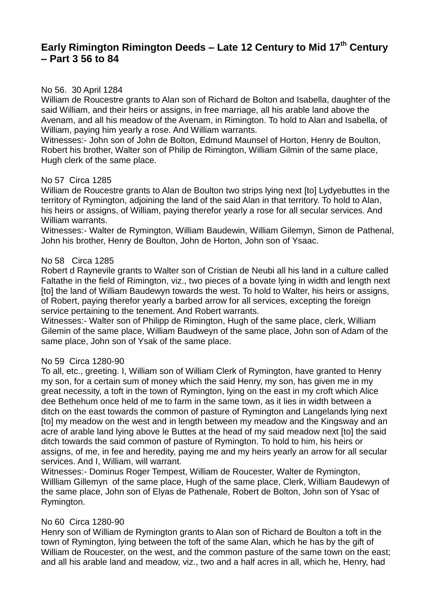# **Early Rimington Rimington Deeds – Late 12 Century to Mid 17th Century – Part 3 56 to 84**

### No 56. 30 April 1284

William de Roucestre grants to Alan son of Richard de Bolton and Isabella, daughter of the said William, and their heirs or assigns, in free marriage, all his arable land above the Avenam, and all his meadow of the Avenam, in Rimington. To hold to Alan and Isabella, of William, paying him yearly a rose. And William warrants.

Witnesses:- John son of John de Bolton, Edmund Maunsel of Horton, Henry de Boulton, Robert his brother, Walter son of Philip de Rimington, William Gilmin of the same place, Hugh clerk of the same place.

#### No 57 Circa 1285

William de Roucestre grants to Alan de Boulton two strips lying next [to] Lydyebuttes in the territory of Rymington, adjoining the land of the said Alan in that territory. To hold to Alan, his heirs or assigns, of William, paying therefor yearly a rose for all secular services. And William warrants.

Witnesses:- Walter de Rymington, William Baudewin, William Gilemyn, Simon de Pathenal, John his brother, Henry de Boulton, John de Horton, John son of Ysaac.

#### No 58 Circa 1285

Robert d Raynevile grants to Walter son of Cristian de Neubi all his land in a culture called Faltathe in the field of Rimington, viz., two pieces of a bovate lying in width and length next [to] the land of William Baudewyn towards the west. To hold to Walter, his heirs or assigns, of Robert, paying therefor yearly a barbed arrow for all services, excepting the foreign service pertaining to the tenement. And Robert warrants.

Witnesses:- Walter son of Philipp de Rimington, Hugh of the same place, clerk, William Gilemin of the same place, William Baudweyn of the same place, John son of Adam of the same place, John son of Ysak of the same place.

#### No 59 Circa 1280-90

To all, etc., greeting. I, William son of William Clerk of Rymington, have granted to Henry my son, for a certain sum of money which the said Henry, my son, has given me in my great necessity, a toft in the town of Rymington, lying on the east in my croft which Alice dee Bethehum once held of me to farm in the same town, as it lies in width between a ditch on the east towards the common of pasture of Rymington and Langelands lying next [to] my meadow on the west and in length between my meadow and the Kingsway and an acre of arable land lying above le Buttes at the head of my said meadow next [to] the said ditch towards the said common of pasture of Rymington. To hold to him, his heirs or assigns, of me, in fee and heredity, paying me and my heirs yearly an arrow for all secular services. And I, William, will warrant.

Witnesses:- Dominus Roger Tempest, William de Roucester, Walter de Rymington, Willliam Gillemyn of the same place, Hugh of the same place, Clerk, William Baudewyn of the same place, John son of Elyas de Pathenale, Robert de Bolton, John son of Ysac of Rymington.

#### No 60 Circa 1280-90

Henry son of William de Rymington grants to Alan son of Richard de Boulton a toft in the town of Rymington, lying between the toft of the same Alan, which he has by the gift of William de Roucester, on the west, and the common pasture of the same town on the east; and all his arable land and meadow, viz., two and a half acres in all, which he, Henry, had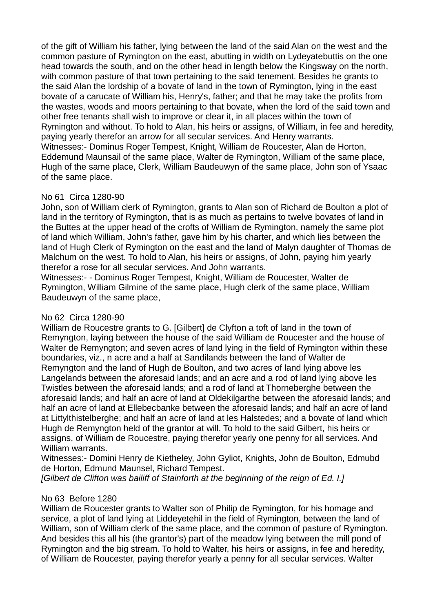of the gift of William his father, lying between the land of the said Alan on the west and the common pasture of Rymington on the east, abutting in width on Lydeyatebuttis on the one head towards the south, and on the other head in length below the Kingsway on the north, with common pasture of that town pertaining to the said tenement. Besides he grants to the said Alan the lordship of a bovate of land in the town of Rymington, lying in the east bovate of a carucate of William his, Henry's, father; and that he may take the profits from the wastes, woods and moors pertaining to that bovate, when the lord of the said town and other free tenants shall wish to improve or clear it, in all places within the town of Rymington and without. To hold to Alan, his heirs or assigns, of William, in fee and heredity, paying yearly therefor an arrow for all secular services. And Henry warrants. Witnesses:- Dominus Roger Tempest, Knight, William de Roucester, Alan de Horton, Eddemund Maunsail of the same place, Walter de Rymington, William of the same place, Hugh of the same place, Clerk, William Baudeuwyn of the same place, John son of Ysaac of the same place.

### No 61 Circa 1280-90

John, son of William clerk of Rymington, grants to Alan son of Richard de Boulton a plot of land in the territory of Rymington, that is as much as pertains to twelve bovates of land in the Buttes at the upper head of the crofts of William de Rymington, namely the same plot of land which William, John's father, gave him by his charter, and which lies between the land of Hugh Clerk of Rymington on the east and the land of Malyn daughter of Thomas de Malchum on the west. To hold to Alan, his heirs or assigns, of John, paying him yearly therefor a rose for all secular services. And John warrants.

Witnesses:- - Dominus Roger Tempest, Knight, William de Roucester, Walter de Rymington, William Gilmine of the same place, Hugh clerk of the same place, William Baudeuwyn of the same place,

## No 62 Circa 1280-90

William de Roucestre grants to G. [Gilbert] de Clyfton a toft of land in the town of Remyngton, laying between the house of the said William de Roucester and the house of Walter de Remyngton; and seven acres of land lying in the field of Rymington within these boundaries, viz., n acre and a half at Sandilands between the land of Walter de Remyngton and the land of Hugh de Boulton, and two acres of land lying above les Langelands between the aforesaid lands; and an acre and a rod of land lying above les Twistles between the aforesaid lands; and a rod of land at Thorneberghe between the aforesaid lands; and half an acre of land at Oldekilgarthe between the aforesaid lands; and half an acre of land at Ellebecbanke between the aforesaid lands; and half an acre of land at Littylthistelberghe; and half an acre of land at les Halstedes; and a bovate of land which Hugh de Remyngton held of the grantor at will. To hold to the said Gilbert, his heirs or assigns, of William de Roucestre, paying therefor yearly one penny for all services. And William warrants.

Witnesses:- Domini Henry de Kietheley, John Gyliot, Knights, John de Boulton, Edmubd de Horton, Edmund Maunsel, Richard Tempest.

*[Gilbert de Clifton was bailiff of Stainforth at the beginning of the reign of Ed. I.]*

### No 63 Before 1280

William de Roucester grants to Walter son of Philip de Rymington, for his homage and service, a plot of land lying at Liddeyetehil in the field of Rymington, between the land of William, son of William clerk of the same place, and the common of pasture of Rymington. And besides this all his (the grantor's) part of the meadow lying between the mill pond of Rymington and the big stream. To hold to Walter, his heirs or assigns, in fee and heredity, of William de Roucester, paying therefor yearly a penny for all secular services. Walter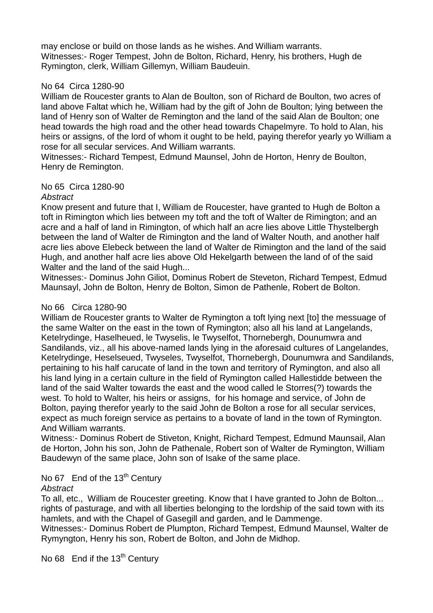may enclose or build on those lands as he wishes. And William warrants. Witnesses:- Roger Tempest, John de Bolton, Richard, Henry, his brothers, Hugh de Rymington, clerk, William Gillemyn, William Baudeuin.

#### No 64 Circa 1280-90

William de Roucester grants to Alan de Boulton, son of Richard de Boulton, two acres of land above Faltat which he, William had by the gift of John de Boulton; lying between the land of Henry son of Walter de Remington and the land of the said Alan de Boulton; one head towards the high road and the other head towards Chapelmyre. To hold to Alan, his heirs or assigns, of the lord of whom it ought to be held, paying therefor yearly yo William a rose for all secular services. And William warrants.

Witnesses:- Richard Tempest, Edmund Maunsel, John de Horton, Henry de Boulton, Henry de Remington.

### No 65 Circa 1280-90

#### *Abstract*

Know present and future that I, William de Roucester, have granted to Hugh de Bolton a toft in Rimington which lies between my toft and the toft of Walter de Rimington; and an acre and a half of land in Rimington, of which half an acre lies above Little Thystelbergh between the land of Walter de Rimington and the land of Walter Nouth, and another half acre lies above Elebeck between the land of Walter de Rimington and the land of the said Hugh, and another half acre lies above Old Hekelgarth between the land of of the said Walter and the land of the said Hugh...

Witnesses:- Dominus John Giliot, Dominus Robert de Steveton, Richard Tempest, Edmud Maunsayl, John de Bolton, Henry de Bolton, Simon de Pathenle, Robert de Bolton.

### No 66 Circa 1280-90

William de Roucester grants to Walter de Rymington a toft lying next [to] the messuage of the same Walter on the east in the town of Rymington; also all his land at Langelands, Ketelrydinge, Haselheued, le Twyselis, le Twyselfot, Thornebergh, Dounumwra and Sandilands, viz., all his above-named lands lying in the aforesaid cultures of Langelandes, Ketelrydinge, Heselseued, Twyseles, Twyselfot, Thornebergh, Dounumwra and Sandilands, pertaining to his half carucate of land in the town and territory of Rymington, and also all his land lying in a certain culture in the field of Rymington called Hallestidde between the land of the said Walter towards the east and the wood called le Storres(?) towards the west. To hold to Walter, his heirs or assigns, for his homage and service, of John de Bolton, paying therefor yearly to the said John de Bolton a rose for all secular services, expect as much foreign service as pertains to a bovate of land in the town of Rymington. And William warrants.

Witness:- Dominus Robert de Stiveton, Knight, Richard Tempest, Edmund Maunsail, Alan de Horton, John his son, John de Pathenale, Robert son of Walter de Rymington, William Baudewyn of the same place, John son of Isake of the same place.

# No 67 End of the 13<sup>th</sup> Century

### *Abstract*

To all, etc., William de Roucester greeting. Know that I have granted to John de Bolton... rights of pasturage, and with all liberties belonging to the lordship of the said town with its hamlets, and with the Chapel of Gasegill and garden, and le Dammenge.

Witnesses:- Dominus Robert de Plumpton, Richard Tempest, Edmund Maunsel, Walter de Rymyngton, Henry his son, Robert de Bolton, and John de Midhop.

No 68 End if the 13<sup>th</sup> Century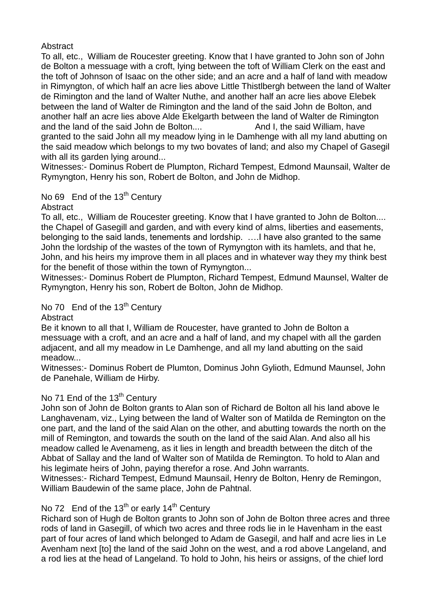**Abstract** 

To all, etc., William de Roucester greeting. Know that I have granted to John son of John de Bolton a messuage with a croft, lying between the toft of William Clerk on the east and the toft of Johnson of Isaac on the other side; and an acre and a half of land with meadow in Rimyngton, of which half an acre lies above Little Thistlbergh between the land of Walter de Rimington and the land of Walter Nuthe, and another half an acre lies above Elebek between the land of Walter de Rimington and the land of the said John de Bolton, and another half an acre lies above Alde Ekelgarth between the land of Walter de Rimington and the land of the said John de Bolton.... And I, the said William, have granted to the said John all my meadow lying in le Damhenge with all my land abutting on the said meadow which belongs to my two bovates of land; and also my Chapel of Gasegil with all its garden Iving around...

Witnesses:- Dominus Robert de Plumpton, Richard Tempest, Edmond Maunsail, Walter de Rymyngton, Henry his son, Robert de Bolton, and John de Midhop.

No 69 End of the 13<sup>th</sup> Century

**Abstract** 

To all, etc., William de Roucester greeting. Know that I have granted to John de Bolton.... the Chapel of Gasegill and garden, and with every kind of alms, liberties and easements, belonging to the said lands, tenements and lordship. ….I have also granted to the same John the lordship of the wastes of the town of Rymyngton with its hamlets, and that he, John, and his heirs my improve them in all places and in whatever way they my think best for the benefit of those within the town of Rymyngton...

Witnesses:- Dominus Robert de Plumpton, Richard Tempest, Edmund Maunsel, Walter de Rymyngton, Henry his son, Robert de Bolton, John de Midhop.

No 70 End of the 13<sup>th</sup> Century

**Abstract** 

Be it known to all that I, William de Roucester, have granted to John de Bolton a messuage with a croft, and an acre and a half of land, and my chapel with all the garden adjacent, and all my meadow in Le Damhenge, and all my land abutting on the said meadow...

Witnesses:- Dominus Robert de Plumton, Dominus John Gylioth, Edmund Maunsel, John de Panehale, William de Hirby.

## No 71 End of the 13<sup>th</sup> Century

John son of John de Bolton grants to Alan son of Richard de Bolton all his land above le Langhavenam, viz., Lying between the land of Walter son of Matilda de Remington on the one part, and the land of the said Alan on the other, and abutting towards the north on the mill of Remington, and towards the south on the land of the said Alan. And also all his meadow called le Avenameng, as it lies in length and breadth between the ditch of the Abbat of Sallay and the land of Walter son of Matilda de Remington. To hold to Alan and his legimate heirs of John, paying therefor a rose. And John warrants.

Witnesses:- Richard Tempest, Edmund Maunsail, Henry de Bolton, Henry de Remingon, William Baudewin of the same place, John de Pahtnal.

# No 72 End of the  $13<sup>th</sup>$  or early 14<sup>th</sup> Century

Richard son of Hugh de Bolton grants to John son of John de Bolton three acres and three rods of land in Gasegill, of which two acres and three rods lie in le Havenham in the east part of four acres of land which belonged to Adam de Gasegil, and half and acre lies in Le Avenham next [to] the land of the said John on the west, and a rod above Langeland, and a rod lies at the head of Langeland. To hold to John, his heirs or assigns, of the chief lord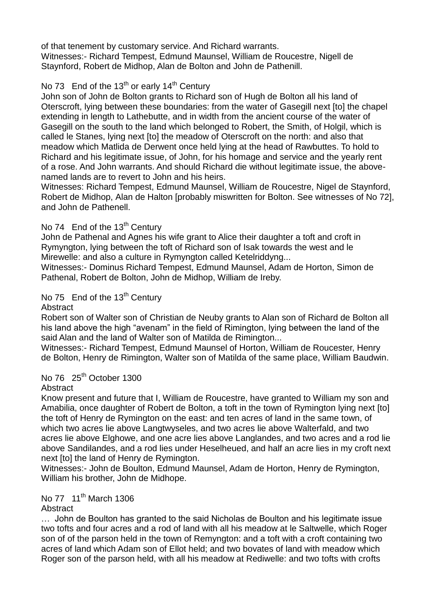of that tenement by customary service. And Richard warrants. Witnesses:- Richard Tempest, Edmund Maunsel, William de Roucestre, Nigell de Staynford, Robert de Midhop, Alan de Bolton and John de Pathenill.

# No 73 End of the 13<sup>th</sup> or early 14<sup>th</sup> Century

John son of John de Bolton grants to Richard son of Hugh de Bolton all his land of Oterscroft, lying between these boundaries: from the water of Gasegill next [to] the chapel extending in length to Lathebutte, and in width from the ancient course of the water of Gasegill on the south to the land which belonged to Robert, the Smith, of Holgil, which is called le Stanes, lying next [to] the meadow of Oterscroft on the north: and also that meadow which Matlida de Derwent once held lying at the head of Rawbuttes. To hold to Richard and his legitimate issue, of John, for his homage and service and the yearly rent of a rose. And John warrants. And should Richard die without legitimate issue, the abovenamed lands are to revert to John and his heirs.

Witnesses: Richard Tempest, Edmund Maunsel, William de Roucestre, Nigel de Staynford, Robert de Midhop, Alan de Halton [probably miswritten for Bolton. See witnesses of No 72], and John de Pathenell.

## No 74 End of the 13<sup>th</sup> Century

John de Pathenal and Agnes his wife grant to Alice their daughter a toft and croft in Rymyngton, lying between the toft of Richard son of Isak towards the west and le Mirewelle: and also a culture in Rymyngton called Ketelriddyng...

Witnesses:- Dominus Richard Tempest, Edmund Maunsel, Adam de Horton, Simon de Pathenal, Robert de Bolton, John de Midhop, William de Ireby.

## No 75 End of the 13<sup>th</sup> Century

**Abstract** 

Robert son of Walter son of Christian de Neuby grants to Alan son of Richard de Bolton all his land above the high "avenam" in the field of Rimington, lying between the land of the said Alan and the land of Walter son of Matilda de Rimington...

Witnesses:- Richard Tempest, Edmund Maunsel of Horton, William de Roucester, Henry de Bolton, Henry de Rimington, Walter son of Matilda of the same place, William Baudwin.

# No  $76$   $25<sup>th</sup>$  October 1300

## Abstract

Know present and future that I, William de Roucestre, have granted to William my son and Amabilia, once daughter of Robert de Bolton, a toft in the town of Rymington lying next [to] the toft of Henry de Rymington on the east: and ten acres of land in the same town, of which two acres lie above Langtwyseles, and two acres lie above Walterfald, and two acres lie above Elghowe, and one acre lies above Langlandes, and two acres and a rod lie above Sandilandes, and a rod lies under Heselheued, and half an acre lies in my croft next next [to] the land of Henry de Rymington.

Witnesses:- John de Boulton, Edmund Maunsel, Adam de Horton, Henry de Rymington, William his brother, John de Midhope.

## No 77 11<sup>th</sup> March 1306

## **Abstract**

… John de Boulton has granted to the said Nicholas de Boulton and his legitimate issue two tofts and four acres and a rod of land with all his meadow at le Saltwelle, which Roger son of of the parson held in the town of Remyngton: and a toft with a croft containing two acres of land which Adam son of Ellot held; and two bovates of land with meadow which Roger son of the parson held, with all his meadow at Rediwelle: and two tofts with crofts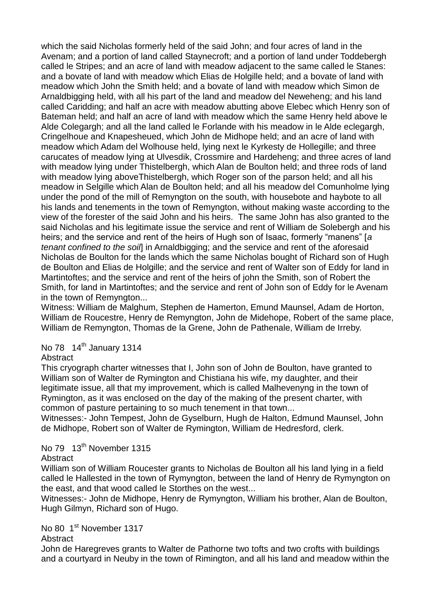which the said Nicholas formerly held of the said John; and four acres of land in the Avenam; and a portion of land called Staynecroft; and a portion of land under Toddebergh called le Stripes; and an acre of land with meadow adjacent to the same called le Stanes: and a bovate of land with meadow which Elias de Holgille held; and a bovate of land with meadow which John the Smith held; and a bovate of land with meadow which Simon de Arnaldbigging held, with all his part of the land and meadow del Neweheng; and his land called Caridding; and half an acre with meadow abutting above Elebec which Henry son of Bateman held; and half an acre of land with meadow which the same Henry held above le Alde Colegargh; and all the land called le Forlande with his meadow in le Alde eclegargh, Cringelhoue and Knapesheued, which John de Midhope held; and an acre of land with meadow which Adam del Wolhouse held, lying next le Kyrkesty de Hollegille; and three carucates of meadow lying at Ulvesdik, Crossmire and Hardeheng; and three acres of land with meadow lying under Thistelbergh, which Alan de Boulton held; and three rods of land with meadow lying aboveThistelbergh, which Roger son of the parson held; and all his meadow in Selgille which Alan de Boulton held; and all his meadow del Comunholme lying under the pond of the mill of Remyngton on the south, with housebote and haybote to all his lands and tenements in the town of Remyngton, without making waste according to the view of the forester of the said John and his heirs. The same John has also granted to the said Nicholas and his legitimate issue the service and rent of William de Solebergh and his heirs; and the service and rent of the heirs of Hugh son of Isaac, formerly "manens" [*a tenant confined to the soil*] in Arnaldbigging; and the service and rent of the aforesaid Nicholas de Boulton for the lands which the same Nicholas bought of Richard son of Hugh de Boulton and Elias de Holgille; and the service and rent of Walter son of Eddy for land in Martintoftes; and the service and rent of the heirs of john the Smith, son of Robert the Smith, for land in Martintoftes; and the service and rent of John son of Eddy for le Avenam in the town of Remyngton...

Witness: William de Malghum, Stephen de Hamerton, Emund Maunsel, Adam de Horton, William de Roucestre, Henry de Remyngton, John de Midehope, Robert of the same place, William de Remyngton, Thomas de la Grene, John de Pathenale, William de Irreby.

# No  $78$  14<sup>th</sup> January 1314

### **Abstract**

This cryograph charter witnesses that I, John son of John de Boulton, have granted to William son of Walter de Rymington and Chistiana his wife, my daughter, and their legitimate issue, all that my improvement, which is called Malhevenyng in the town of Rymington, as it was enclosed on the day of the making of the present charter, with common of pasture pertaining to so much tenement in that town...

Witnesses:- John Tempest, John de Gyselburn, Hugh de Halton, Edmund Maunsel, John de Midhope, Robert son of Walter de Rymington, William de Hedresford, clerk.

# No 79 13<sup>th</sup> November 1315

#### **Abstract**

William son of William Roucester grants to Nicholas de Boulton all his land lying in a field called le Hallested in the town of Rymyngton, between the land of Henry de Rymyngton on the east, and that wood called le Storthes on the west...

Witnesses:- John de Midhope, Henry de Rymyngton, William his brother, Alan de Boulton, Hugh Gilmyn, Richard son of Hugo.

### No 80 1<sup>st</sup> November 1317

#### **Abstract**

John de Haregreves grants to Walter de Pathorne two tofts and two crofts with buildings and a courtyard in Neuby in the town of Rimington, and all his land and meadow within the